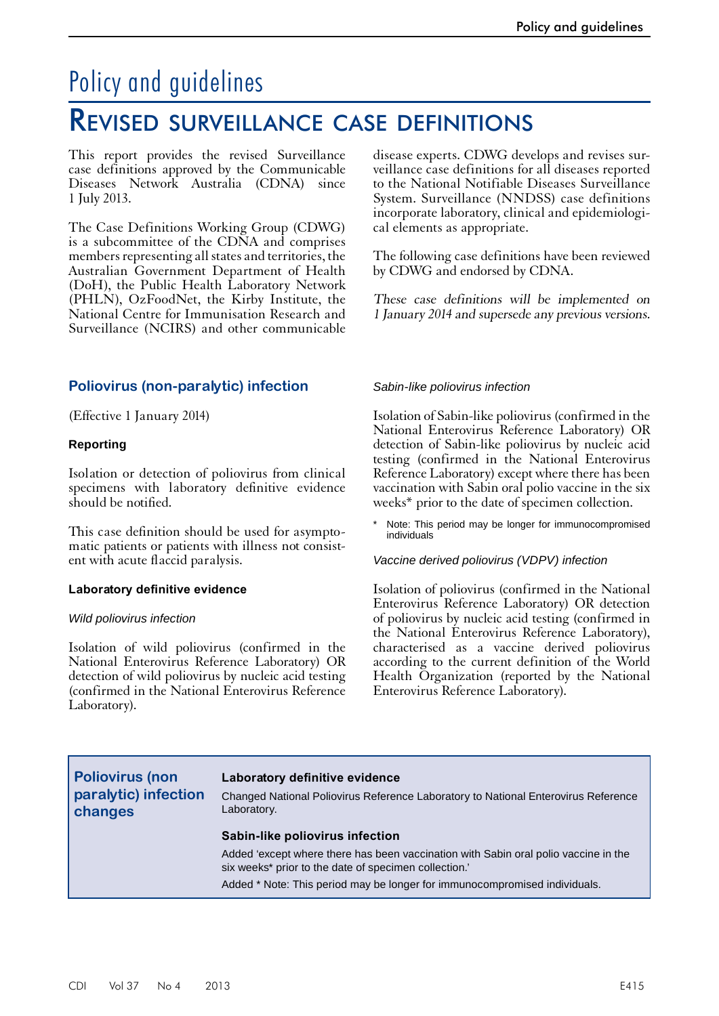# Policy and guidelines

## Revised surveillance case definitions

This report provides the revised Surveillance case definitions approved by the Communicable Diseases Network Australia (CDNA) since 1 July 2013.

The Case Definitions Working Group (CDWG) is a subcommittee of the CDNA and comprises members representing all states and territories, the Australian Government Department of Health (DoH), the Public Health Laboratory Network (PHLN), OzFoodNet, the Kirby Institute, the National Centre for Immunisation Research and Surveillance (NCIRS) and other communicable

## **Poliovirus (non-paralytic) infection**

(Effective 1 January 2014)

#### **Reporting**

Isolation or detection of poliovirus from clinical specimens with laboratory definitive evidence should be notified.

This case definition should be used for asymptomatic patients or patients with illness not consistent with acute flaccid paralysis.

#### **Laboratory definitive evidence**

#### *Wild poliovirus infection*

Isolation of wild poliovirus (confirmed in the National Enterovirus Reference Laboratory) OR detection of wild poliovirus by nucleic acid testing (confirmed in the National Enterovirus Reference Laboratory).

disease experts. CDWG develops and revises surveillance case definitions for all diseases reported to the National Notifiable Diseases Surveillance System. Surveillance (NNDSS) case definitions incorporate laboratory, clinical and epidemiological elements as appropriate.

The following case definitions have been reviewed by CDWG and endorsed by CDNA.

These case definitions will be implemented on 1 January 2014 and supersede any previous versions.

#### *Sabin-like poliovirus infection*

Isolation of Sabin-like poliovirus (confirmed in the National Enterovirus Reference Laboratory) OR detection of Sabin-like poliovirus by nucleic acid testing (confirmed in the National Enterovirus Reference Laboratory) except where there has been vaccination with Sabin oral polio vaccine in the six weeks\* prior to the date of specimen collection.

Note: This period may be longer for immunocompromised individuals

*Vaccine derived poliovirus (VDPV) infection*

Isolation of poliovirus (confirmed in the National Enterovirus Reference Laboratory) OR detection of poliovirus by nucleic acid testing (confirmed in the National Enterovirus Reference Laboratory), characterised as a vaccine derived poliovirus according to the current definition of the World Health Organization (reported by the National Enterovirus Reference Laboratory).

**Poliovirus (non paralytic) infection changes**

#### **Laboratory definitive evidence**

Changed National Poliovirus Reference Laboratory to National Enterovirus Reference Laboratory.

#### **Sabin-like poliovirus infection**

Added 'except where there has been vaccination with Sabin oral polio vaccine in the six weeks\* prior to the date of specimen collection.'

Added \* Note: This period may be longer for immunocompromised individuals.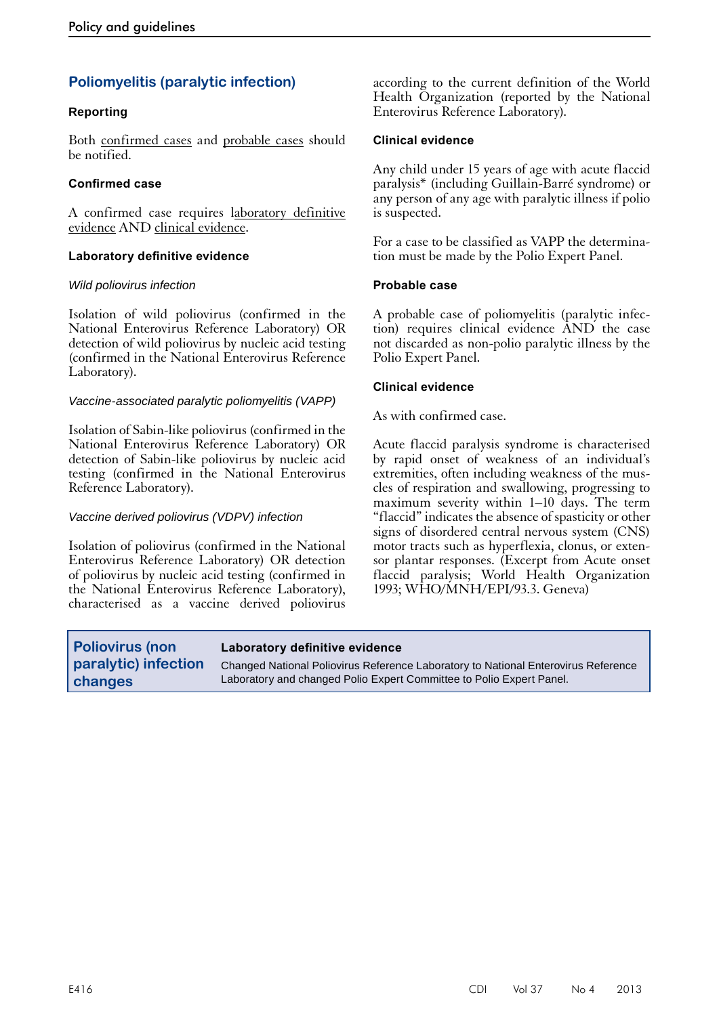## **Poliomyelitis (paralytic infection)**

#### **Reporting**

Both confirmed cases and probable cases should be notified.

#### **Confirmed case**

A confirmed case requires laboratory definitive evidence AND clinical evidence.

#### **Laboratory definitive evidence**

#### *Wild poliovirus infection*

Isolation of wild poliovirus (confirmed in the National Enterovirus Reference Laboratory) OR detection of wild poliovirus by nucleic acid testing (confirmed in the National Enterovirus Reference Laboratory).

#### *Vaccine-associated paralytic poliomyelitis (VAPP)*

Isolation of Sabin-like poliovirus (confirmed in the National Enterovirus Reference Laboratory) OR detection of Sabin-like poliovirus by nucleic acid testing (confirmed in the National Enterovirus Reference Laboratory).

#### *Vaccine derived poliovirus (VDPV) infection*

Isolation of poliovirus (confirmed in the National Enterovirus Reference Laboratory) OR detection of poliovirus by nucleic acid testing (confirmed in the National Enterovirus Reference Laboratory), characterised as a vaccine derived poliovirus according to the current definition of the World Health Organization (reported by the National Enterovirus Reference Laboratory).

#### **Clinical evidence**

Any child under 15 years of age with acute flaccid paralysis\* (including Guillain-Barré syndrome) or any person of any age with paralytic illness if polio is suspected.

For a case to be classified as VAPP the determination must be made by the Polio Expert Panel.

#### **Probable case**

A probable case of poliomyelitis (paralytic infection) requires clinical evidence AND the case not discarded as non-polio paralytic illness by the Polio Expert Panel.

#### **Clinical evidence**

As with confirmed case.

Acute flaccid paralysis syndrome is characterised by rapid onset of weakness of an individual's extremities, often including weakness of the muscles of respiration and swallowing, progressing to maximum severity within 1–10 days. The term "flaccid" indicates the absence of spasticity or other signs of disordered central nervous system (CNS) motor tracts such as hyperflexia, clonus, or extensor plantar responses. (Excerpt from Acute onset flaccid paralysis; World Health Organization 1993; WHO/MNH/EPI/93.3. Geneva)

| <b>Poliovirus (non</b> | Laboratory definitive evidence                                                     |
|------------------------|------------------------------------------------------------------------------------|
| paralytic) infection   | Changed National Poliovirus Reference Laboratory to National Enterovirus Reference |
| changes                | Laboratory and changed Polio Expert Committee to Polio Expert Panel.               |